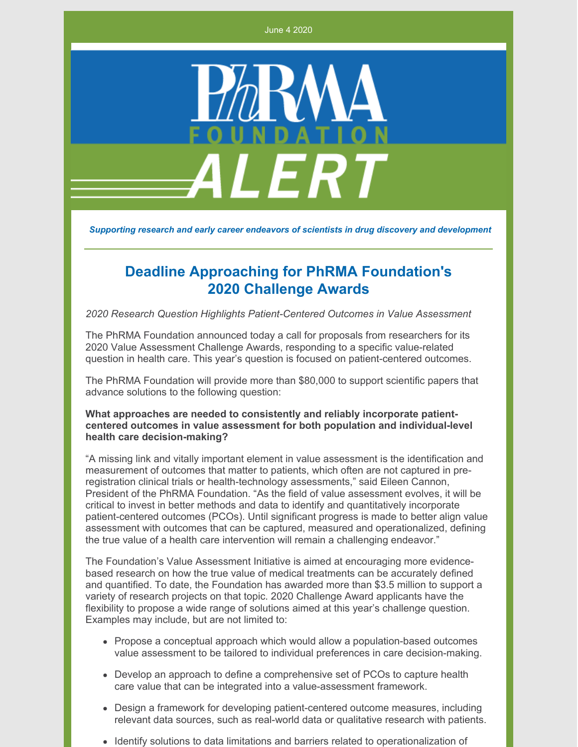June 4 2020



*Supporting research and early career endeavors of scientists in drug discovery and development*

## **Deadline Approaching for PhRMA Foundation's 2020 Challenge Awards**

*2020 Research Question Highlights Patient-Centered Outcomes in Value Assessment*

The PhRMA Foundation announced today a call for proposals from researchers for its 2020 Value Assessment Challenge Awards, responding to a specific value-related question in health care. This year's question is focused on patient-centered outcomes.

The PhRMA Foundation will provide more than \$80,000 to support scientific papers that advance solutions to the following question:

## **What approaches are needed to consistently and reliably incorporate patientcentered outcomes in value assessment for both population and individual-level health care decision-making?**

"A missing link and vitally important element in value assessment is the identification and measurement of outcomes that matter to patients, which often are not captured in preregistration clinical trials or health-technology assessments," said Eileen Cannon, President of the PhRMA Foundation. "As the field of value assessment evolves, it will be critical to invest in better methods and data to identify and quantitatively incorporate patient-centered outcomes (PCOs). Until significant progress is made to better align value assessment with outcomes that can be captured, measured and operationalized, defining the true value of a health care intervention will remain a challenging endeavor."

The Foundation's Value Assessment Initiative is aimed at encouraging more evidencebased research on how the true value of medical treatments can be accurately defined and quantified. To date, the Foundation has awarded more than \$3.5 million to support a variety of research projects on that topic. 2020 Challenge Award applicants have the flexibility to propose a wide range of solutions aimed at this year's challenge question. Examples may include, but are not limited to:

- Propose a conceptual approach which would allow a population-based outcomes value assessment to be tailored to individual preferences in care decision-making.
- Develop an approach to define a comprehensive set of PCOs to capture health care value that can be integrated into a value-assessment framework.
- Design a framework for developing patient-centered outcome measures, including relevant data sources, such as real-world data or qualitative research with patients.
- Identify solutions to data limitations and barriers related to operationalization of